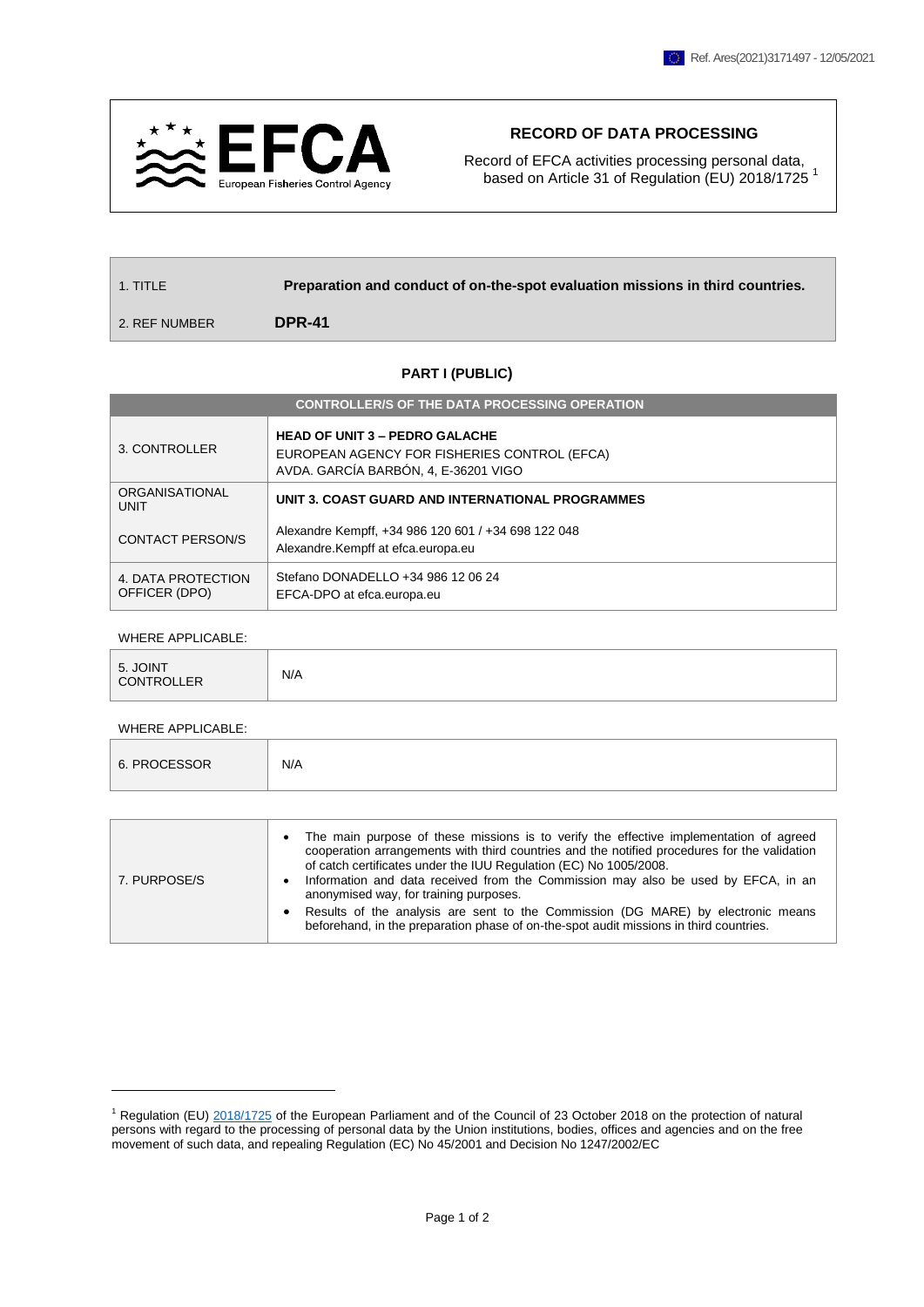

## **RECORD OF DATA PROCESSING**

Record of EFCA activities processing personal data, based on Article 31 of Regulation (EU) 2018/1725<sup>1</sup>

| $\perp$ 1. TITLE $\parallel$ | Preparation and conduct of on-the-spot evaluation missions in third countries. |  |  |
|------------------------------|--------------------------------------------------------------------------------|--|--|
| 2. REF NUMBER                | <b>DPR-41</b>                                                                  |  |  |

## **PART I (PUBLIC)**

| <b>CONTROLLER/S OF THE DATA PROCESSING OPERATION</b> |                                                                                                                               |  |  |  |  |
|------------------------------------------------------|-------------------------------------------------------------------------------------------------------------------------------|--|--|--|--|
| 3. CONTROLLER                                        | <b>HEAD OF UNIT 3 - PEDRO GALACHE</b><br>EUROPEAN AGENCY FOR FISHERIES CONTROL (EFCA)<br>AVDA. GARCÍA BARBÓN, 4, E-36201 VIGO |  |  |  |  |
| ORGANISATIONAL<br>UNIT                               | UNIT 3. COAST GUARD AND INTERNATIONAL PROGRAMMES                                                                              |  |  |  |  |
| <b>CONTACT PERSON/S</b>                              | Alexandre Kempff, +34 986 120 601 / +34 698 122 048<br>Alexandre.Kempff at efca.europa.eu                                     |  |  |  |  |
| 4. DATA PROTECTION<br>OFFICER (DPO)                  | Stefano DONADELLO +34 986 12 06 24<br>EFCA-DPO at efca.europa.eu                                                              |  |  |  |  |

## WHERE APPLICABLE:

| 5. JOINT<br>CONTROLLER | N/A |
|------------------------|-----|

## WHERE APPLICABLE:

1

| 6. PROCESSOR |
|--------------|
|--------------|

| cooperation arrangements with third countries and the notified procedures for the validation<br>of catch certificates under the IUU Regulation (EC) No 1005/2008.<br>Information and data received from the Commission may also be used by EFCA, in an<br>7. PURPOSE/S<br>٠<br>anonymised way, for training purposes.<br>Results of the analysis are sent to the Commission (DG MARE) by electronic means<br>$\bullet$ |
|------------------------------------------------------------------------------------------------------------------------------------------------------------------------------------------------------------------------------------------------------------------------------------------------------------------------------------------------------------------------------------------------------------------------|
|------------------------------------------------------------------------------------------------------------------------------------------------------------------------------------------------------------------------------------------------------------------------------------------------------------------------------------------------------------------------------------------------------------------------|

<sup>1</sup> Regulation (EU) [2018/1725](https://eur-lex.europa.eu/legal-content/EN/TXT/?uri=CELEX%3A32018R1725) of the European Parliament and of the Council of 23 October 2018 on the protection of natural persons with regard to the processing of personal data by the Union institutions, bodies, offices and agencies and on the free movement of such data, and repealing Regulation (EC) No 45/2001 and Decision No 1247/2002/EC